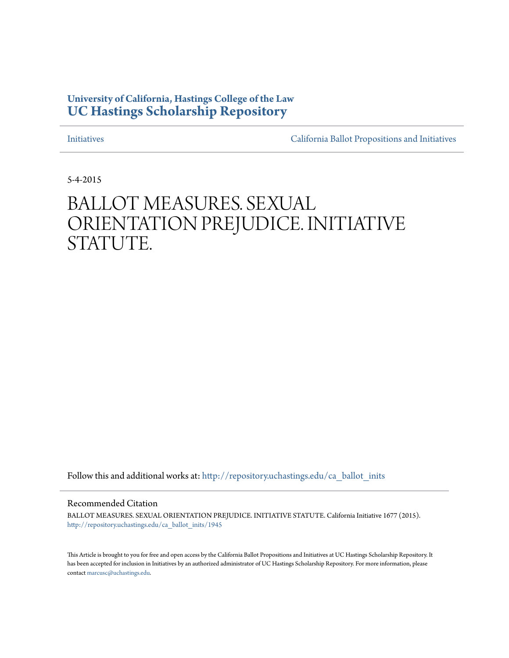## **University of California, Hastings College of the Law [UC Hastings Scholarship Repository](http://repository.uchastings.edu?utm_source=repository.uchastings.edu%2Fca_ballot_inits%2F1945&utm_medium=PDF&utm_campaign=PDFCoverPages)**

[Initiatives](http://repository.uchastings.edu/ca_ballot_inits?utm_source=repository.uchastings.edu%2Fca_ballot_inits%2F1945&utm_medium=PDF&utm_campaign=PDFCoverPages) [California Ballot Propositions and Initiatives](http://repository.uchastings.edu/ca_ballots?utm_source=repository.uchastings.edu%2Fca_ballot_inits%2F1945&utm_medium=PDF&utm_campaign=PDFCoverPages)

5-4-2015

## BALLOT MEASURES. SEXUAL ORIENTATION PREJUDICE. INITIATIVE STATUTE.

Follow this and additional works at: [http://repository.uchastings.edu/ca\\_ballot\\_inits](http://repository.uchastings.edu/ca_ballot_inits?utm_source=repository.uchastings.edu%2Fca_ballot_inits%2F1945&utm_medium=PDF&utm_campaign=PDFCoverPages)

Recommended Citation

BALLOT MEASURES. SEXUAL ORIENTATION PREJUDICE. INITIATIVE STATUTE. California Initiative 1677 (2015). [http://repository.uchastings.edu/ca\\_ballot\\_inits/1945](http://repository.uchastings.edu/ca_ballot_inits/1945?utm_source=repository.uchastings.edu%2Fca_ballot_inits%2F1945&utm_medium=PDF&utm_campaign=PDFCoverPages)

This Article is brought to you for free and open access by the California Ballot Propositions and Initiatives at UC Hastings Scholarship Repository. It has been accepted for inclusion in Initiatives by an authorized administrator of UC Hastings Scholarship Repository. For more information, please contact [marcusc@uchastings.edu](mailto:marcusc@uchastings.edu).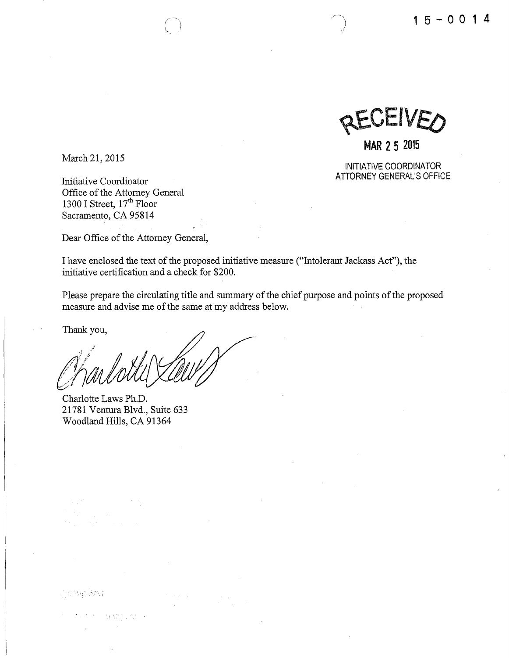

**MAR 2 5 2015** 

INITIATIVE COORDINATOR ATTORNEY GENERAL'S OFFICE

March 21, 2015

Initiative Coordinator Office of the Attorney General 1300 I Street,  $17<sup>th</sup>$  Floor Sacramento, CA 95814

Dear Office of the Attorney General,

I have enclosed the text of the proposed initiative measure ("Intolerant Jackass Act"), the initiative certification and a check for \$200.

Please prepare the circulating title and summary of the chief purpose and points of the proposed measure and advise me of the same at my address below.

Thank you,

ji staya Koy

Charlotte Laws Ph.D. 21781 Ventura Blvd., Suite 633 Woodland Hills, CA 91364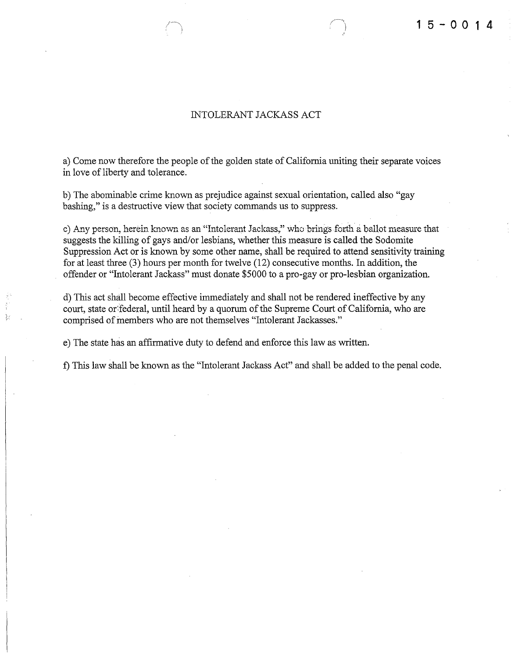## INTOLERANT JACKASS ACT

a) Come now therefore the people of the golden state of California uniting their separate voices in love of liberty and tolerance.

b) The abominable crime known as prejudice against sexual orientation, called also "gay bashing," is a destructive view that society commands us to suppress.

c) Any person, herein known as an "Intolerant Jackass," who brings forth a ballot measure that suggests the killing of gays and/or lesbians, whether this measure is called the Sodomite Suppression Act or is known by some other name, shall be required to attend sensitivity training for at least three (3) hours per month for twelve (12) consecutive months. In addition, the offender or "Intolerant Jackass" must donate \$5000 to a pro-gay or pro-lesbian organization.

d) This act shall become effective immediately and shall not be rendered ineffective by any court, state or federal, until heard by a quorum of the Supreme Court of California, who are comprised of members who are not themselves "Intolerant Jackasses."

e) The state has an affirmative duty to defend and enforce this law as written.

f) This law shall be known as the "Intolerant Jackass Act" and shall be added to the penal code.